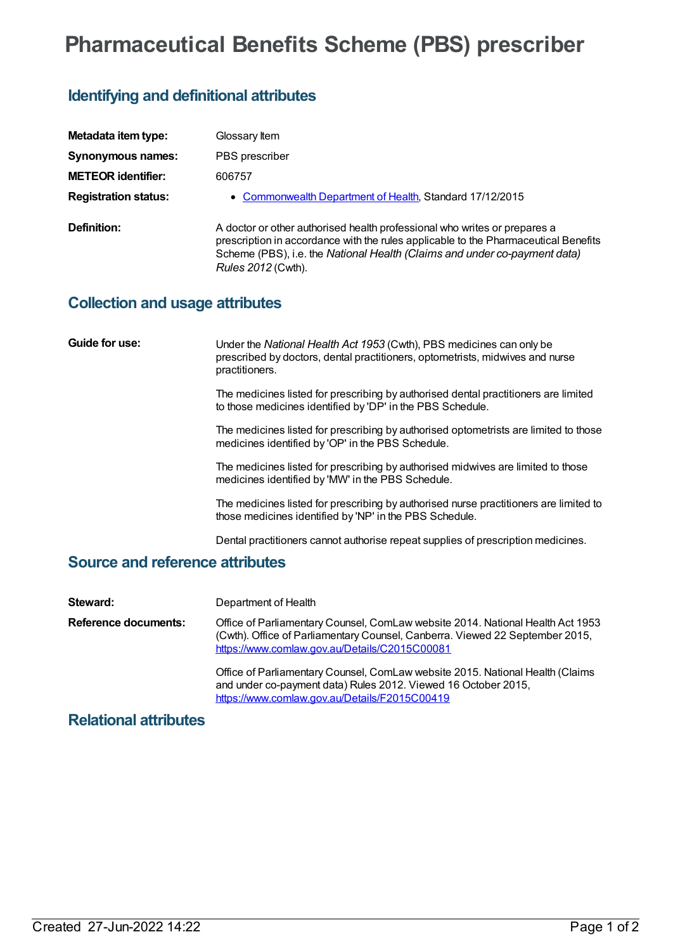# **Pharmaceutical Benefits Scheme (PBS) prescriber**

# **Identifying and definitional attributes**

| Metadata item type:         | Glossary Item                                                                                                                                                                                                                                                       |
|-----------------------------|---------------------------------------------------------------------------------------------------------------------------------------------------------------------------------------------------------------------------------------------------------------------|
| Synonymous names:           | PBS prescriber                                                                                                                                                                                                                                                      |
| <b>METEOR identifier:</b>   | 606757                                                                                                                                                                                                                                                              |
| <b>Registration status:</b> | • Commonwealth Department of Health, Standard 17/12/2015                                                                                                                                                                                                            |
| Definition:                 | A doctor or other authorised health professional who writes or prepares a<br>prescription in accordance with the rules applicable to the Pharmaceutical Benefits<br>Scheme (PBS), i.e. the National Health (Claims and under co-payment data)<br>Rules 2012 (Cwth). |

### **Collection and usage attributes**

| Guide for use:                         | Under the National Health Act 1953 (Cwth), PBS medicines can only be<br>prescribed by doctors, dental practitioners, optometrists, midwives and nurse<br>practitioners. |  |
|----------------------------------------|-------------------------------------------------------------------------------------------------------------------------------------------------------------------------|--|
|                                        | The medicines listed for prescribing by authorised dental practitioners are limited<br>to those medicines identified by 'DP' in the PBS Schedule.                       |  |
|                                        | The medicines listed for prescribing by authorised optometrists are limited to those<br>medicines identified by 'OP' in the PBS Schedule.                               |  |
|                                        | The medicines listed for prescribing by authorised midwives are limited to those<br>medicines identified by 'MW' in the PBS Schedule.                                   |  |
|                                        | The medicines listed for prescribing by authorised nurse practitioners are limited to<br>those medicines identified by 'NP' in the PBS Schedule.                        |  |
|                                        | Dental practitioners cannot authorise repeat supplies of prescription medicines.                                                                                        |  |
| <b>Source and reference attributes</b> |                                                                                                                                                                         |  |

| Steward:             | Department of Health                                                                                                                                                                                            |
|----------------------|-----------------------------------------------------------------------------------------------------------------------------------------------------------------------------------------------------------------|
| Reference documents: | Office of Parliamentary Counsel, ComLaw website 2014. National Health Act 1953<br>(Cwth). Office of Parliamentary Counsel, Canberra. Viewed 22 September 2015,<br>https://www.comlaw.gov.au/Details/C2015C00081 |
|                      | Office of Parliamentary Counsel, ComLaw website 2015. National Health (Claims<br>and under co-payment data) Rules 2012. Viewed 16 October 2015,<br>https://www.comlaw.gov.au/Details/F2015C00419                |

## **Relational attributes**